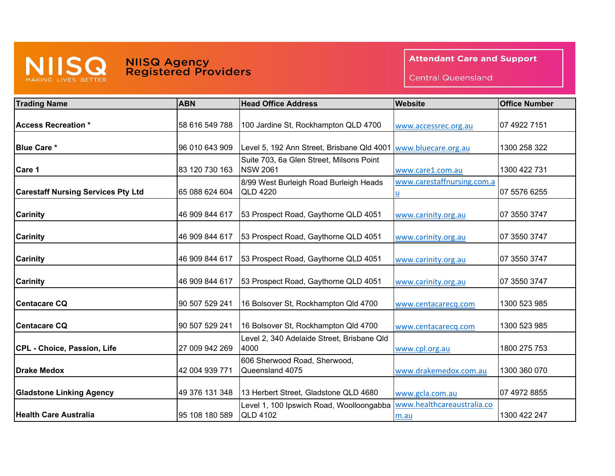

## **NIISQ Agency<br>Registered Providers**

**Attendant Care and Support** 

**Central Queensland** 

| <b>Trading Name</b>                       | <b>ABN</b>     | <b>Head Office Address</b>                                  | <b>Website</b>                     | <b>Office Number</b> |
|-------------------------------------------|----------------|-------------------------------------------------------------|------------------------------------|----------------------|
| <b>Access Recreation *</b>                | 58 616 549 788 | 100 Jardine St, Rockhampton QLD 4700                        | www.accessrec.org.au               | 07 4922 7151         |
| <b>Blue Care *</b>                        | 96 010 643 909 | Level 5, 192 Ann Street, Brisbane Qld 4001                  | www.bluecare.org.au                | 1300 258 322         |
| Care 1                                    | 83 120 730 163 | Suite 703, 6a Glen Street, Milsons Point<br><b>NSW 2061</b> | www.care1.com.au                   | 1300 422 731         |
| <b>Carestaff Nursing Services Pty Ltd</b> | 65 088 624 604 | 8/99 West Burleigh Road Burleigh Heads<br><b>QLD 4220</b>   | www.carestaffnursing.com.a<br>u    | 07 5576 6255         |
| <b>Carinity</b>                           | 46 909 844 617 | 53 Prospect Road, Gaythorne QLD 4051                        | www.carinity.org.au                | 07 3550 3747         |
| <b>Carinity</b>                           | 46 909 844 617 | 53 Prospect Road, Gaythorne QLD 4051                        | www.carinity.org.au                | 07 3550 3747         |
| <b>Carinity</b>                           | 46 909 844 617 | 53 Prospect Road, Gaythorne QLD 4051                        | www.carinity.org.au                | 07 3550 3747         |
| <b>Carinity</b>                           | 46 909 844 617 | 53 Prospect Road, Gaythorne QLD 4051                        | www.carinity.org.au                | 07 3550 3747         |
| <b>Centacare CQ</b>                       | 90 507 529 241 | 16 Bolsover St, Rockhampton Qld 4700                        | www.centacarecq.com                | 1300 523 985         |
| <b>Centacare CQ</b>                       | 90 507 529 241 | 16 Bolsover St, Rockhampton Qld 4700                        | www.centacarecq.com                | 1300 523 985         |
| CPL - Choice, Passion, Life               | 27 009 942 269 | Level 2, 340 Adelaide Street, Brisbane Qld<br>4000          | www.cpl.org.au                     | 1800 275 753         |
| Drake Medox                               | 42 004 939 771 | 606 Sherwood Road, Sherwood,<br>Queensland 4075             | www.drakemedox.com.au              | 1300 360 070         |
| <b>Gladstone Linking Agency</b>           | 49 376 131 348 | 13 Herbert Street, Gladstone QLD 4680                       | www.gcla.com.au                    | 07 4972 8855         |
| <b>Health Care Australia</b>              | 95 108 180 589 | Level 1, 100 Ipswich Road, Woolloongabba<br><b>QLD 4102</b> | www.healthcareaustralia.co<br>m.au | 1300 422 247         |